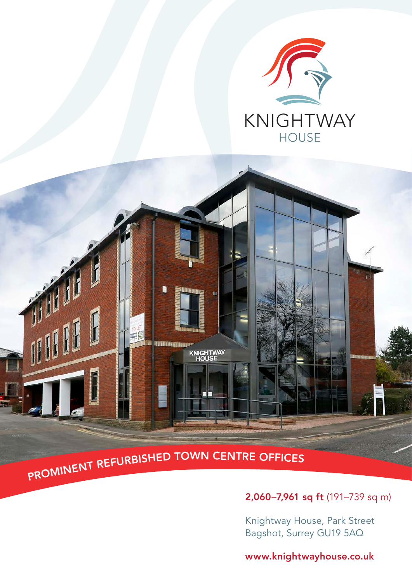



# 2,060–7,961 sq ft (191–739 sq m)

Knightway House, Park Street Bagshot, Surrey GU19 5AQ

## www.knightwayhouse.co.uk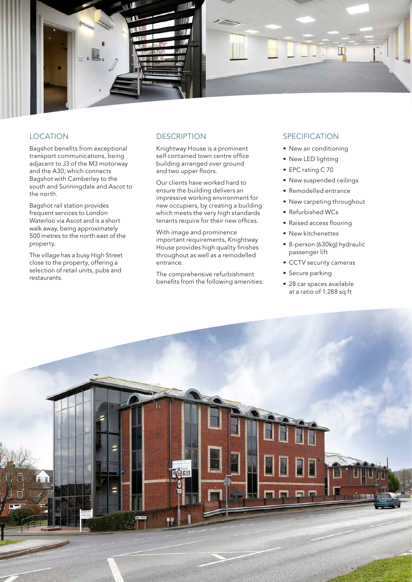

### **LOCATION**

Bagshot benefits from exceptional transport communications, being adjacent to J3 of the M3 motorway and the A30, which connects Bagshot with Camberley to the south and Sunningdale and Ascot to the north.

Bagshot rail station provides frequent services to London Waterloo via Ascot and is a short walk away, being approximately 500 metres to the north east of the property.

The village has a busy High Street close to the property, offering a selection of retail units, pubs and restaurants.

### **DESCRIPTION**

Knightway House is a prominent self contained town centre office building arranged over ground and two upper floors.

Our clients have worked hard to ensure the building delivers an impressive working environment for new occupiers, by creating a building which meets the very high standards tenants require for their new offices.

With image and prominence important requirements, Knightway House provides high quality finishes throughout as well as a remodelled entrance.

The comprehensive refurbishment benefits from the following amenities:

## SPECIFICATION

- New air conditioning
- New LED lighting
- EPC rating C 70
- New suspended ceilings
- Remodelled entrance
- New carpeting throughout
- Refurbished WCs
- Raised access flooring
- New kitchenettes
- 8-person (630kg) hydraulic passenger lift
- CCTV security cameras
- Secure parking
- 28 car spaces available at a ratio of 1:288 sq ft

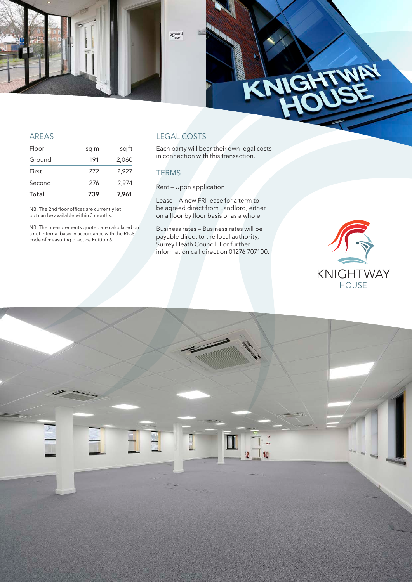

### AREAS

| Total  | 739  | 7.961 |
|--------|------|-------|
| Second | 276  | 2,974 |
| First  | 272  | 2,927 |
| Ground | 191  | 2,060 |
| Floor  | sq m | sq ft |

NB. The 2nd floor offices are currently let but can be available within 3 months.

NB. The measurements quoted are calculated on a net internal basis in accordance with the RICS code of measuring practice Edition 6.

## LEGAL COSTS

Each party will bear their own legal costs in connection with this transaction.

### **TERMS**

Rent – Upon application

Lease – A new FRI lease for a term to be agreed direct from Landlord, either on a floor by floor basis or as a whole.

Business rates – Business rates will be payable direct to the local authority, Surrey Heath Council. For further information call direct on 01276 707100.